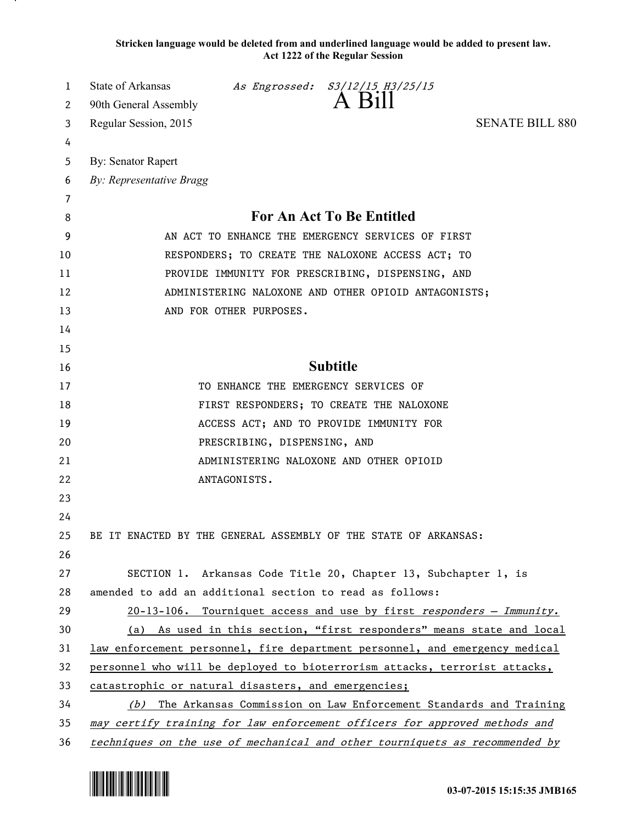**Stricken language would be deleted from and underlined language would be added to present law. Act 1222 of the Regular Session**

| 1        | State of Arkansas                                                                                                                 |                              | As Engrossed: S3/12/15 H3/25/15<br>A Bill                       |                                                                             |
|----------|-----------------------------------------------------------------------------------------------------------------------------------|------------------------------|-----------------------------------------------------------------|-----------------------------------------------------------------------------|
| 2        | 90th General Assembly                                                                                                             |                              |                                                                 |                                                                             |
| 3        | Regular Session, 2015                                                                                                             |                              |                                                                 | <b>SENATE BILL 880</b>                                                      |
| 4        |                                                                                                                                   |                              |                                                                 |                                                                             |
| 5        | By: Senator Rapert                                                                                                                |                              |                                                                 |                                                                             |
| 6        | By: Representative Bragg                                                                                                          |                              |                                                                 |                                                                             |
| 7        |                                                                                                                                   |                              |                                                                 |                                                                             |
| 8        | For An Act To Be Entitled                                                                                                         |                              |                                                                 |                                                                             |
| 9        | AN ACT TO ENHANCE THE EMERGENCY SERVICES OF FIRST<br>RESPONDERS; TO CREATE THE NALOXONE ACCESS ACT; TO                            |                              |                                                                 |                                                                             |
| 10       |                                                                                                                                   |                              |                                                                 |                                                                             |
| 11       |                                                                                                                                   |                              | PROVIDE IMMUNITY FOR PRESCRIBING, DISPENSING, AND               |                                                                             |
| 12       |                                                                                                                                   |                              | ADMINISTERING NALOXONE AND OTHER OPIOID ANTAGONISTS;            |                                                                             |
| 13       |                                                                                                                                   | AND FOR OTHER PURPOSES.      |                                                                 |                                                                             |
| 14       |                                                                                                                                   |                              |                                                                 |                                                                             |
| 15       |                                                                                                                                   |                              | <b>Subtitle</b>                                                 |                                                                             |
| 16       |                                                                                                                                   |                              |                                                                 |                                                                             |
| 17       |                                                                                                                                   |                              | TO ENHANCE THE EMERGENCY SERVICES OF                            |                                                                             |
| 18       |                                                                                                                                   |                              | FIRST RESPONDERS; TO CREATE THE NALOXONE                        |                                                                             |
| 19       |                                                                                                                                   |                              | ACCESS ACT; AND TO PROVIDE IMMUNITY FOR                         |                                                                             |
| 20       |                                                                                                                                   | PRESCRIBING, DISPENSING, AND |                                                                 |                                                                             |
| 21       |                                                                                                                                   |                              | ADMINISTERING NALOXONE AND OTHER OPIOID                         |                                                                             |
| 22       |                                                                                                                                   | ANTAGONISTS.                 |                                                                 |                                                                             |
| 23       |                                                                                                                                   |                              |                                                                 |                                                                             |
| 24       |                                                                                                                                   |                              |                                                                 |                                                                             |
| 25       | BE IT ENACTED BY THE GENERAL ASSEMBLY OF THE STATE OF ARKANSAS:                                                                   |                              |                                                                 |                                                                             |
| 26       |                                                                                                                                   |                              |                                                                 |                                                                             |
| 27<br>28 |                                                                                                                                   |                              | SECTION 1. Arkansas Code Title 20, Chapter 13, Subchapter 1, is |                                                                             |
|          | amended to add an additional section to read as follows:                                                                          |                              |                                                                 |                                                                             |
| 29<br>30 |                                                                                                                                   |                              |                                                                 | 20-13-106. Tourniquet access and use by first responders - Immunity.        |
| 31       |                                                                                                                                   |                              |                                                                 | (a) As used in this section, "first responders" means state and local       |
| 32       | law enforcement personnel, fire department personnel, and emergency medical                                                       |                              |                                                                 |                                                                             |
| 33       | personnel who will be deployed to bioterrorism attacks, terrorist attacks,<br>catastrophic or natural disasters, and emergencies; |                              |                                                                 |                                                                             |
| 34       |                                                                                                                                   |                              |                                                                 | (b) The Arkansas Commission on Law Enforcement Standards and Training       |
| 35       | may certify training for law enforcement officers for approved methods and                                                        |                              |                                                                 |                                                                             |
| 36       |                                                                                                                                   |                              |                                                                 | techniques on the use of mechanical and other tourniquets as recommended by |

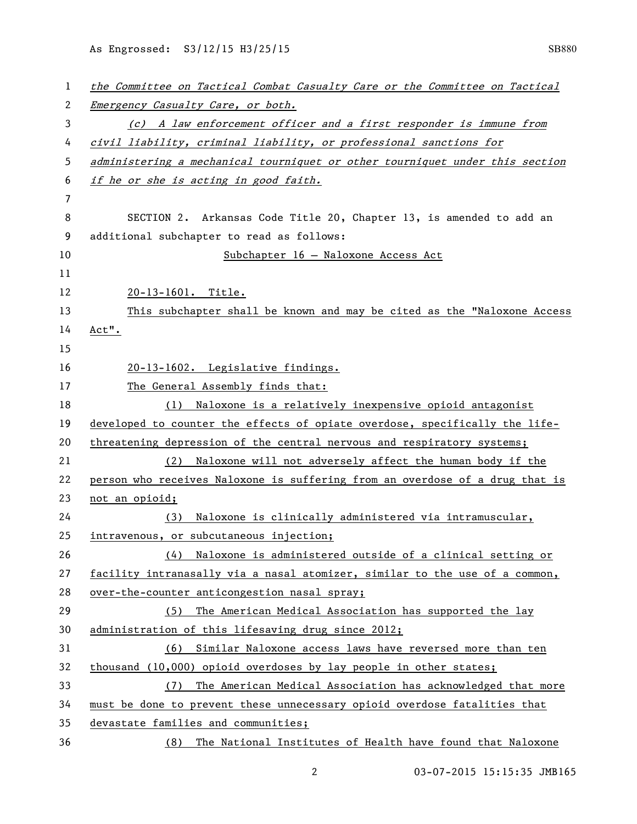As Engrossed: S3/12/15 H3/25/15 SB880

| 1              | the Committee on Tactical Combat Casualty Care or the Committee on Tactical  |
|----------------|------------------------------------------------------------------------------|
| 2              | Emergency Casualty Care, or both.                                            |
| 3              | (c) A law enforcement officer and a first responder is immune from           |
| 4              | civil liability, criminal liability, or professional sanctions for           |
| 5              | administering a mechanical tourniquet or other tourniquet under this section |
| 6              | if he or she is acting in good faith.                                        |
| $\overline{7}$ |                                                                              |
| 8              | SECTION 2. Arkansas Code Title 20, Chapter 13, is amended to add an          |
| 9              | additional subchapter to read as follows:                                    |
| 10             | Subchapter 16 - Naloxone Access Act                                          |
| 11             |                                                                              |
| 12             | 20-13-1601. Title.                                                           |
| 13             | This subchapter shall be known and may be cited as the "Naloxone Access      |
| 14             | Act".                                                                        |
| 15             |                                                                              |
| 16             | 20-13-1602. Legislative findings.                                            |
| 17             | The General Assembly finds that:                                             |
| 18             | (1) Naloxone is a relatively inexpensive opioid antagonist                   |
| 19             | developed to counter the effects of opiate overdose, specifically the life-  |
| 20             | threatening depression of the central nervous and respiratory systems;       |
| 21             | Naloxone will not adversely affect the human body if the<br>(2)              |
| 22             | person who receives Naloxone is suffering from an overdose of a drug that is |
| 23             | not an opioid;                                                               |
| 24             | Naloxone is clinically administered via intramuscular,<br>(3)                |
| 25             | intravenous, or subcutaneous injection;                                      |
| 26             | Naloxone is administered outside of a clinical setting or<br>(4)             |
| 27             | facility intranasally via a nasal atomizer, similar to the use of a common,  |
| 28             | over-the-counter anticongestion nasal spray;                                 |
| 29             | The American Medical Association has supported the lay<br>(5)                |
| 30             | administration of this lifesaving drug since 2012;                           |
| 31             | (6) Similar Naloxone access laws have reversed more than ten                 |
| 32             | thousand (10,000) opioid overdoses by lay people in other states;            |
| 33             | The American Medical Association has acknowledged that more<br>(7)           |
| 34             | must be done to prevent these unnecessary opioid overdose fatalities that    |
| 35             | devastate families and communities;                                          |
| 36             | The National Institutes of Health have found that Naloxone<br>(8)            |

03-07-2015 15:15:35 JMB165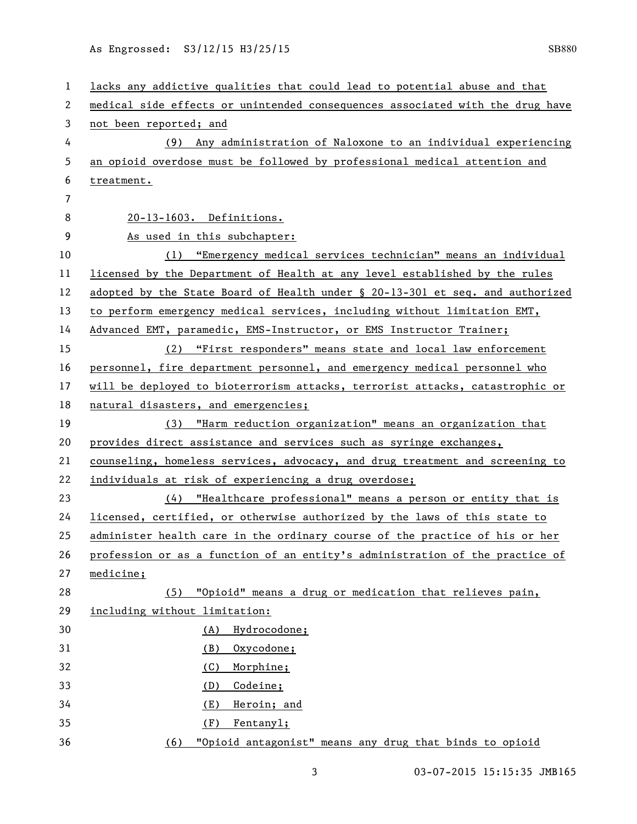| 1                     | lacks any addictive qualities that could lead to potential abuse and that     |
|-----------------------|-------------------------------------------------------------------------------|
| $\mathbf{2}^{\prime}$ | medical side effects or unintended consequences associated with the drug have |
| 3                     | not been reported; and                                                        |
| 4                     | (9) Any administration of Naloxone to an individual experiencing              |
| 5                     | an opioid overdose must be followed by professional medical attention and     |
| 6                     | treatment.                                                                    |
| 7                     |                                                                               |
| 8                     | 20-13-1603. Definitions.                                                      |
| 9                     | As used in this subchapter:                                                   |
| 10                    | (1) "Emergency medical services technician" means an individual               |
| 11                    | licensed by the Department of Health at any level established by the rules    |
| 12                    | adopted by the State Board of Health under § 20-13-301 et seq. and authorized |
| 13                    | to perform emergency medical services, including without limitation EMT,      |
| 14                    | Advanced EMT, paramedic, EMS-Instructor, or EMS Instructor Trainer;           |
| 15                    | (2) "First responders" means state and local law enforcement                  |
| 16                    | personnel, fire department personnel, and emergency medical personnel who     |
| 17                    | will be deployed to bioterrorism attacks, terrorist attacks, catastrophic or  |
| 18                    | natural disasters, and emergencies;                                           |
| 19                    | (3) "Harm reduction organization" means an organization that                  |
| 20                    | provides direct assistance and services such as syringe exchanges,            |
| 21                    | counseling, homeless services, advocacy, and drug treatment and screening to  |
| 22                    | individuals at risk of experiencing a drug overdose;                          |
| 23                    | (4) "Healthcare professional" means a person or entity that is                |
| 24                    | licensed, certified, or otherwise authorized by the laws of this state to     |
| 25                    | administer health care in the ordinary course of the practice of his or her   |
| 26                    | profession or as a function of an entity's administration of the practice of  |
| 27                    | medicine;                                                                     |
| 28                    | (5) "Opioid" means a drug or medication that relieves pain,                   |
| 29                    | including without limitation:                                                 |
| 30                    | Hydrocodone;<br>(A)                                                           |
| 31                    | Oxycodone;<br>(B)                                                             |
| 32                    | Morphine;<br>(C)                                                              |
| 33                    | Codeine;<br>(D)                                                               |
| 34                    | Heroin; and<br>(E)                                                            |
| 35                    | Fentanyl;<br>(F)                                                              |
| 36                    | "Opioid antagonist" means any drug that binds to opioid<br>(6)                |

3 03-07-2015 15:15:35 JMB165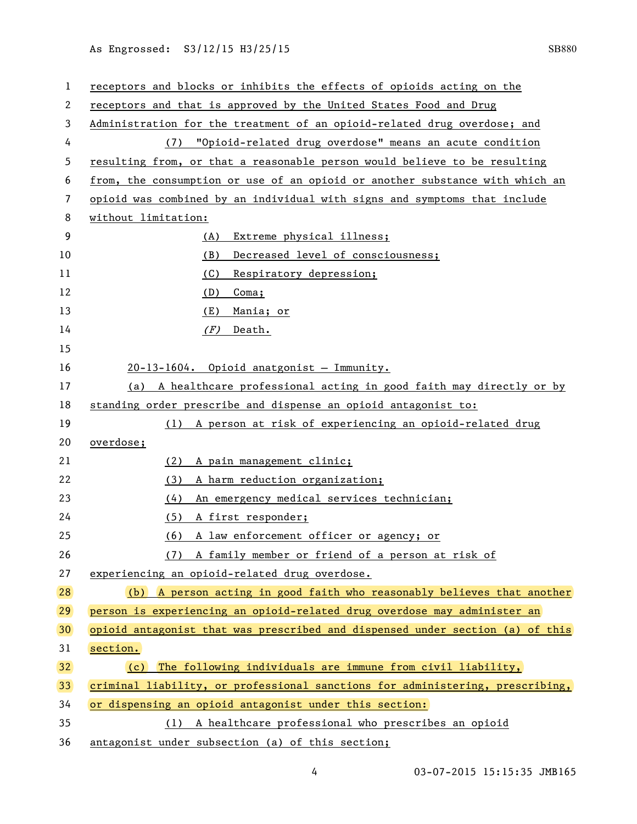As Engrossed: S3/12/15 H3/25/15 SB880

| 1  | receptors and blocks or inhibits the effects of opioids acting on the         |
|----|-------------------------------------------------------------------------------|
| 2  | receptors and that is approved by the United States Food and Drug             |
| 3  | Administration for the treatment of an opioid-related drug overdose; and      |
| 4  | "Opioid-related drug overdose" means an acute condition<br>(7)                |
| 5  | resulting from, or that a reasonable person would believe to be resulting     |
| 6  | from, the consumption or use of an opioid or another substance with which an  |
| 7  | opioid was combined by an individual with signs and symptoms that include     |
| 8  | without limitation:                                                           |
| 9  | Extreme physical illness;<br>(A)                                              |
| 10 | (B)<br>Decreased level of consciousness;                                      |
| 11 | Respiratory depression;<br>(C)                                                |
| 12 | $Coma$ ;<br><u>(D)</u>                                                        |
| 13 | (E)<br>Mania; or                                                              |
| 14 | (F)<br>Death.                                                                 |
| 15 |                                                                               |
| 16 | 20-13-1604. Opioid anatgonist - Immunity.                                     |
| 17 | (a) A healthcare professional acting in good faith may directly or by         |
| 18 | standing order prescribe and dispense an opioid antagonist to:                |
| 19 | (1) A person at risk of experiencing an opioid-related drug                   |
| 20 | overdose;                                                                     |
| 21 | (2)<br>A pain management clinic;                                              |
| 22 | (3)<br>A harm reduction organization;                                         |
| 23 | (4)<br>An emergency medical services technician;                              |
| 24 | (5)<br>A first responder;                                                     |
| 25 | A law enforcement officer or agency; or<br>(6)                                |
| 26 | (7) A family member or friend of a person at risk of                          |
| 27 | experiencing an opioid-related drug overdose.                                 |
| 28 | (b) A person acting in good faith who reasonably believes that another        |
| 29 | person is experiencing an opioid-related drug overdose may administer an      |
| 30 | opioid antagonist that was prescribed and dispensed under section (a) of this |
| 31 | section.                                                                      |
| 32 | $(c)$ The following individuals are immune from civil liability,              |
| 33 | criminal liability, or professional sanctions for administering, prescribing, |
| 34 | or dispensing an opioid antagonist under this section:                        |
| 35 | A healthcare professional who prescribes an opioid<br>(1)                     |
| 36 | antagonist under subsection (a) of this section;                              |

4 03-07-2015 15:15:35 JMB165